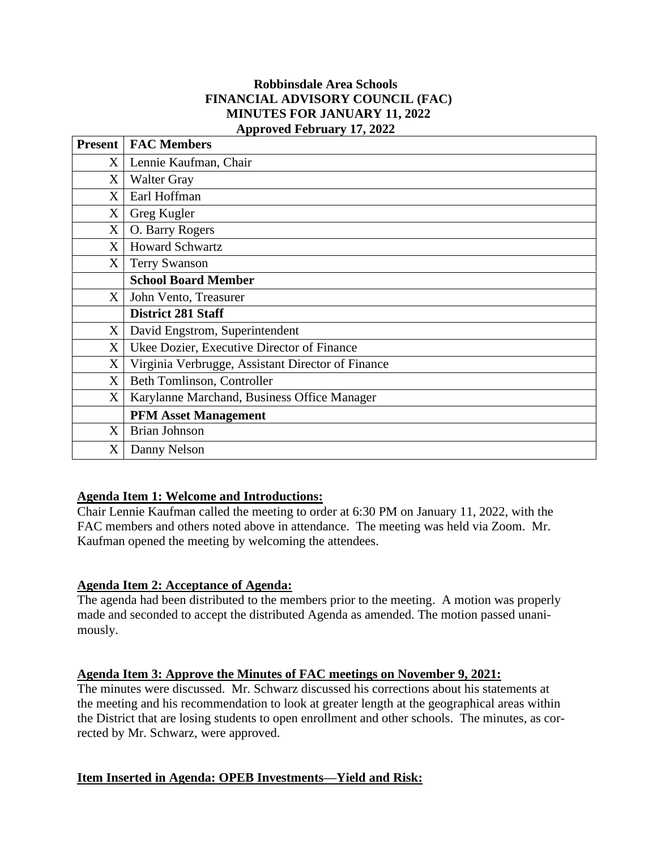### **Robbinsdale Area Schools FINANCIAL ADVISORY COUNCIL (FAC) MINUTES FOR JANUARY 11, 2022 Approved February 17, 2022**

| <b>Present</b>    | <b>FAC Members</b>                                |
|-------------------|---------------------------------------------------|
| $X_{\mathcal{E}}$ | Lennie Kaufman, Chair                             |
| X                 | <b>Walter Gray</b>                                |
| X                 | Earl Hoffman                                      |
| X                 | Greg Kugler                                       |
| X                 | O. Barry Rogers                                   |
| X                 | <b>Howard Schwartz</b>                            |
| $X_{\mathcal{E}}$ | <b>Terry Swanson</b>                              |
|                   | <b>School Board Member</b>                        |
| $X_{\mathcal{E}}$ | John Vento, Treasurer                             |
|                   | <b>District 281 Staff</b>                         |
| X                 | David Engstrom, Superintendent                    |
| X                 | Ukee Dozier, Executive Director of Finance        |
| X                 | Virginia Verbrugge, Assistant Director of Finance |
| X                 | Beth Tomlinson, Controller                        |
| X                 | Karylanne Marchand, Business Office Manager       |
|                   | <b>PFM Asset Management</b>                       |
| X                 | <b>Brian Johnson</b>                              |
| X                 | Danny Nelson                                      |

# **Agenda Item 1: Welcome and Introductions:**

Chair Lennie Kaufman called the meeting to order at 6:30 PM on January 11, 2022, with the FAC members and others noted above in attendance. The meeting was held via Zoom. Mr. Kaufman opened the meeting by welcoming the attendees.

# **Agenda Item 2: Acceptance of Agenda:**

The agenda had been distributed to the members prior to the meeting. A motion was properly made and seconded to accept the distributed Agenda as amended. The motion passed unanimously.

# **Agenda Item 3: Approve the Minutes of FAC meetings on November 9, 2021:**

The minutes were discussed. Mr. Schwarz discussed his corrections about his statements at the meeting and his recommendation to look at greater length at the geographical areas within the District that are losing students to open enrollment and other schools. The minutes, as corrected by Mr. Schwarz, were approved.

# **Item Inserted in Agenda: OPEB Investments—Yield and Risk:**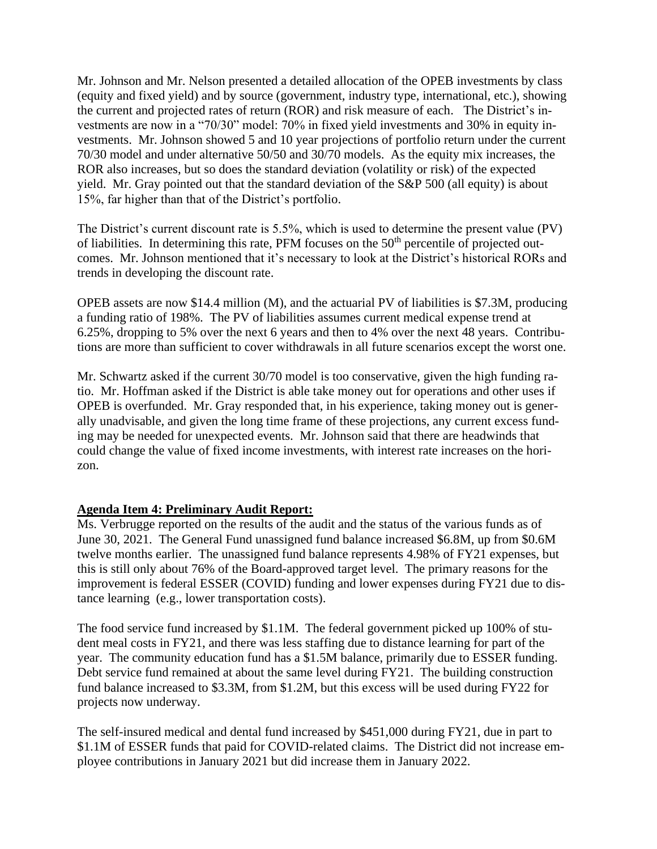Mr. Johnson and Mr. Nelson presented a detailed allocation of the OPEB investments by class (equity and fixed yield) and by source (government, industry type, international, etc.), showing the current and projected rates of return (ROR) and risk measure of each. The District's investments are now in a "70/30" model: 70% in fixed yield investments and 30% in equity investments. Mr. Johnson showed 5 and 10 year projections of portfolio return under the current 70/30 model and under alternative 50/50 and 30/70 models. As the equity mix increases, the ROR also increases, but so does the standard deviation (volatility or risk) of the expected yield. Mr. Gray pointed out that the standard deviation of the S&P 500 (all equity) is about 15%, far higher than that of the District's portfolio.

The District's current discount rate is 5.5%, which is used to determine the present value (PV) of liabilities. In determining this rate, PFM focuses on the  $50<sup>th</sup>$  percentile of projected outcomes. Mr. Johnson mentioned that it's necessary to look at the District's historical RORs and trends in developing the discount rate.

OPEB assets are now \$14.4 million (M), and the actuarial PV of liabilities is \$7.3M, producing a funding ratio of 198%. The PV of liabilities assumes current medical expense trend at 6.25%, dropping to 5% over the next 6 years and then to 4% over the next 48 years. Contributions are more than sufficient to cover withdrawals in all future scenarios except the worst one.

Mr. Schwartz asked if the current 30/70 model is too conservative, given the high funding ratio. Mr. Hoffman asked if the District is able take money out for operations and other uses if OPEB is overfunded. Mr. Gray responded that, in his experience, taking money out is generally unadvisable, and given the long time frame of these projections, any current excess funding may be needed for unexpected events. Mr. Johnson said that there are headwinds that could change the value of fixed income investments, with interest rate increases on the horizon.

#### **Agenda Item 4: Preliminary Audit Report:**

Ms. Verbrugge reported on the results of the audit and the status of the various funds as of June 30, 2021. The General Fund unassigned fund balance increased \$6.8M, up from \$0.6M twelve months earlier. The unassigned fund balance represents 4.98% of FY21 expenses, but this is still only about 76% of the Board-approved target level. The primary reasons for the improvement is federal ESSER (COVID) funding and lower expenses during FY21 due to distance learning (e.g., lower transportation costs).

The food service fund increased by \$1.1M. The federal government picked up 100% of student meal costs in FY21, and there was less staffing due to distance learning for part of the year. The community education fund has a \$1.5M balance, primarily due to ESSER funding. Debt service fund remained at about the same level during FY21. The building construction fund balance increased to \$3.3M, from \$1.2M, but this excess will be used during FY22 for projects now underway.

The self-insured medical and dental fund increased by \$451,000 during FY21, due in part to \$1.1M of ESSER funds that paid for COVID-related claims. The District did not increase employee contributions in January 2021 but did increase them in January 2022.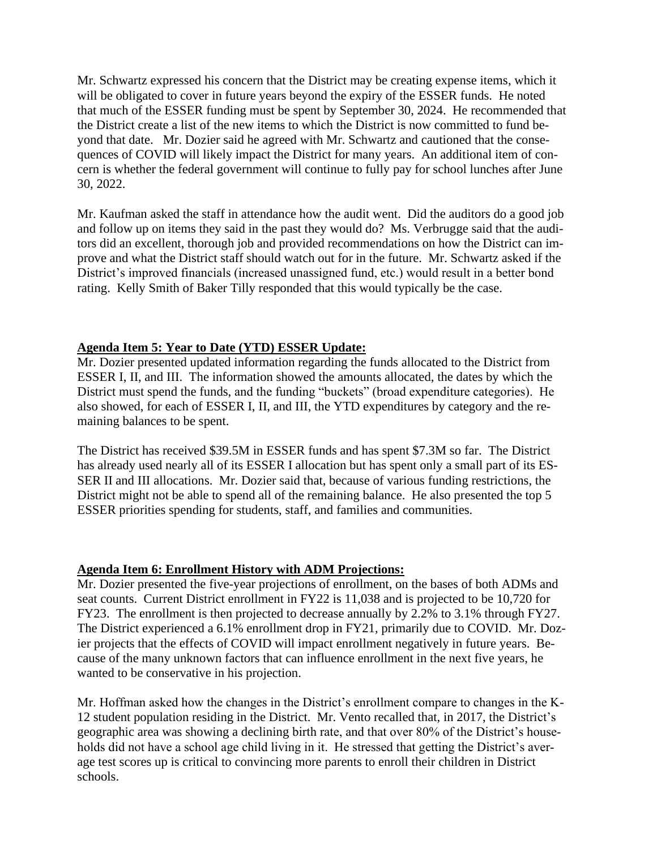Mr. Schwartz expressed his concern that the District may be creating expense items, which it will be obligated to cover in future years beyond the expiry of the ESSER funds. He noted that much of the ESSER funding must be spent by September 30, 2024. He recommended that the District create a list of the new items to which the District is now committed to fund beyond that date. Mr. Dozier said he agreed with Mr. Schwartz and cautioned that the consequences of COVID will likely impact the District for many years. An additional item of concern is whether the federal government will continue to fully pay for school lunches after June 30, 2022.

Mr. Kaufman asked the staff in attendance how the audit went. Did the auditors do a good job and follow up on items they said in the past they would do? Ms. Verbrugge said that the auditors did an excellent, thorough job and provided recommendations on how the District can improve and what the District staff should watch out for in the future. Mr. Schwartz asked if the District's improved financials (increased unassigned fund, etc.) would result in a better bond rating. Kelly Smith of Baker Tilly responded that this would typically be the case.

# **Agenda Item 5: Year to Date (YTD) ESSER Update:**

Mr. Dozier presented updated information regarding the funds allocated to the District from ESSER I, II, and III. The information showed the amounts allocated, the dates by which the District must spend the funds, and the funding "buckets" (broad expenditure categories). He also showed, for each of ESSER I, II, and III, the YTD expenditures by category and the remaining balances to be spent.

The District has received \$39.5M in ESSER funds and has spent \$7.3M so far. The District has already used nearly all of its ESSER I allocation but has spent only a small part of its ES-SER II and III allocations. Mr. Dozier said that, because of various funding restrictions, the District might not be able to spend all of the remaining balance. He also presented the top 5 ESSER priorities spending for students, staff, and families and communities.

#### **Agenda Item 6: Enrollment History with ADM Projections:**

Mr. Dozier presented the five-year projections of enrollment, on the bases of both ADMs and seat counts. Current District enrollment in FY22 is 11,038 and is projected to be 10,720 for FY23. The enrollment is then projected to decrease annually by 2.2% to 3.1% through FY27. The District experienced a 6.1% enrollment drop in FY21, primarily due to COVID. Mr. Dozier projects that the effects of COVID will impact enrollment negatively in future years. Because of the many unknown factors that can influence enrollment in the next five years, he wanted to be conservative in his projection.

Mr. Hoffman asked how the changes in the District's enrollment compare to changes in the K-12 student population residing in the District. Mr. Vento recalled that, in 2017, the District's geographic area was showing a declining birth rate, and that over 80% of the District's households did not have a school age child living in it. He stressed that getting the District's average test scores up is critical to convincing more parents to enroll their children in District schools.